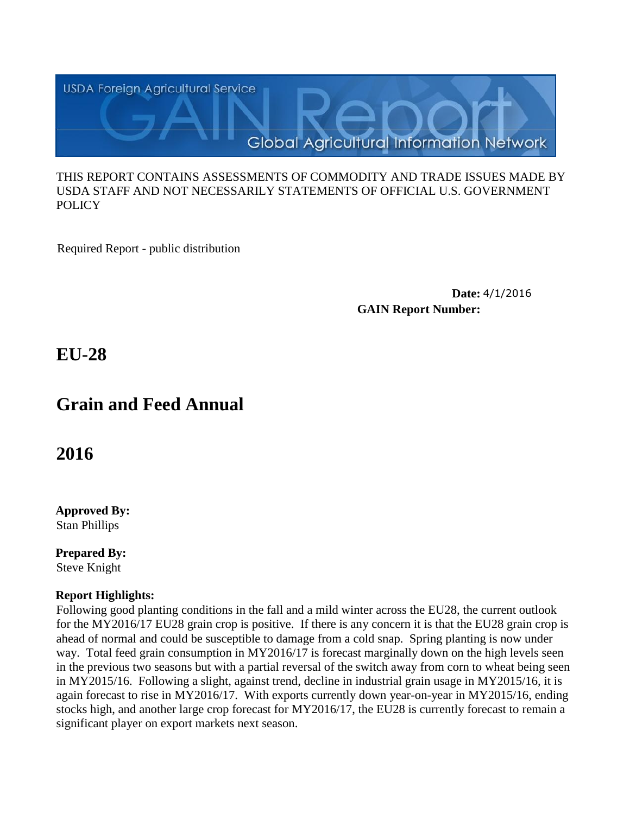

#### THIS REPORT CONTAINS ASSESSMENTS OF COMMODITY AND TRADE ISSUES MADE BY USDA STAFF AND NOT NECESSARILY STATEMENTS OF OFFICIAL U.S. GOVERNMENT **POLICY**

Required Report - public distribution

**Date:** 4/1/2016 **GAIN Report Number:**

**EU-28**

# **Grain and Feed Annual**

**2016**

**Approved By:**  Stan Phillips

**Prepared By:**  Steve Knight

# **Report Highlights:**

Following good planting conditions in the fall and a mild winter across the EU28, the current outlook for the MY2016/17 EU28 grain crop is positive. If there is any concern it is that the EU28 grain crop is ahead of normal and could be susceptible to damage from a cold snap. Spring planting is now under way. Total feed grain consumption in MY2016/17 is forecast marginally down on the high levels seen in the previous two seasons but with a partial reversal of the switch away from corn to wheat being seen in MY2015/16. Following a slight, against trend, decline in industrial grain usage in MY2015/16, it is again forecast to rise in MY2016/17. With exports currently down year-on-year in MY2015/16, ending stocks high, and another large crop forecast for MY2016/17, the EU28 is currently forecast to remain a significant player on export markets next season.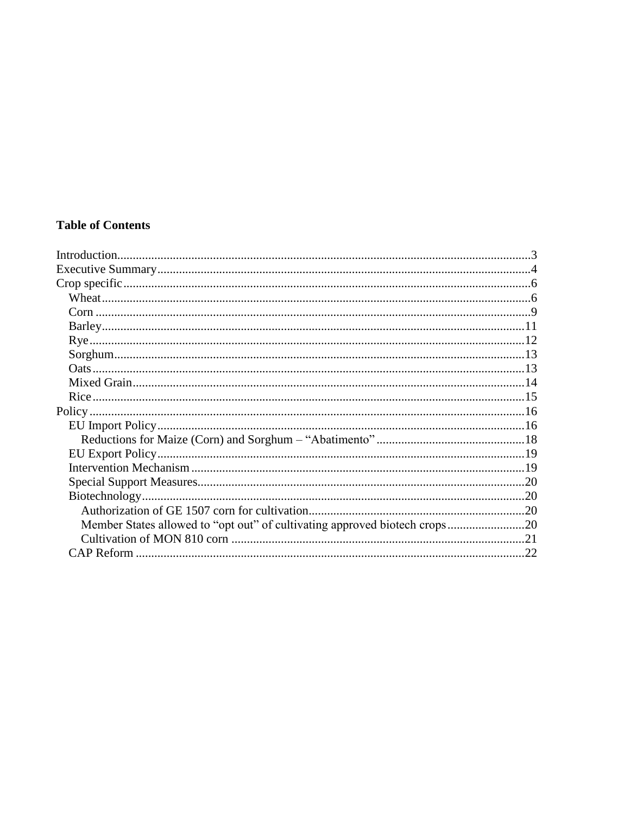# **Table of Contents**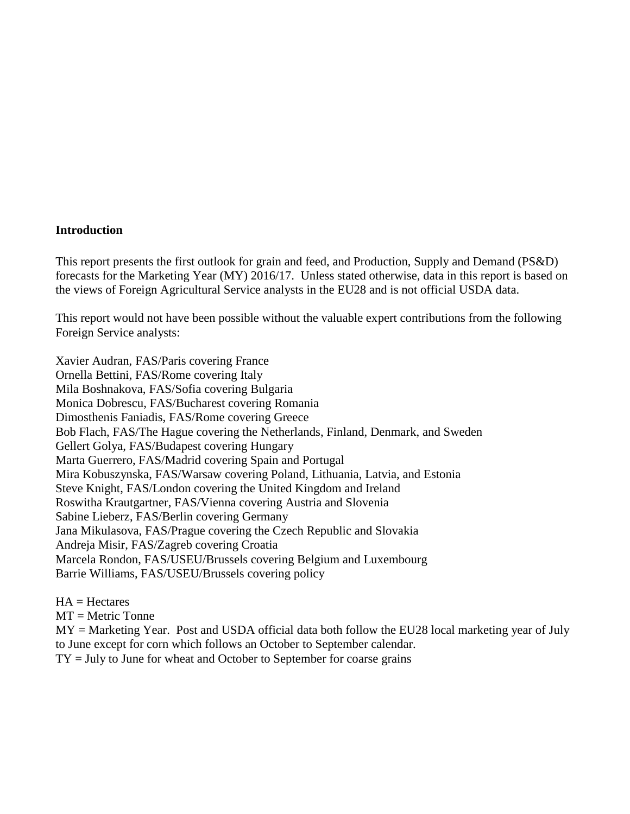#### <span id="page-2-0"></span>**Introduction**

This report presents the first outlook for grain and feed, and Production, Supply and Demand (PS&D) forecasts for the Marketing Year (MY) 2016/17. Unless stated otherwise, data in this report is based on the views of Foreign Agricultural Service analysts in the EU28 and is not official USDA data.

This report would not have been possible without the valuable expert contributions from the following Foreign Service analysts:

Xavier Audran, FAS/Paris covering France Ornella Bettini, FAS/Rome covering Italy Mila Boshnakova, FAS/Sofia covering Bulgaria Monica Dobrescu, FAS/Bucharest covering Romania Dimosthenis Faniadis, FAS/Rome covering Greece Bob Flach, FAS/The Hague covering the Netherlands, Finland, Denmark, and Sweden Gellert Golya, FAS/Budapest covering Hungary Marta Guerrero, FAS/Madrid covering Spain and Portugal Mira Kobuszynska, FAS/Warsaw covering Poland, Lithuania, Latvia, and Estonia Steve Knight, FAS/London covering the United Kingdom and Ireland Roswitha Krautgartner, FAS/Vienna covering Austria and Slovenia Sabine Lieberz, FAS/Berlin covering Germany Jana Mikulasova, FAS/Prague covering the Czech Republic and Slovakia Andreja Misir, FAS/Zagreb covering Croatia Marcela Rondon, FAS/USEU/Brussels covering Belgium and Luxembourg Barrie Williams, FAS/USEU/Brussels covering policy

 $HA = Hectares$  $MT =$  Metric Tonne MY = Marketing Year. Post and USDA official data both follow the EU28 local marketing year of July to June except for corn which follows an October to September calendar.  $TY = July to June for wheat and October to September for coarse grains$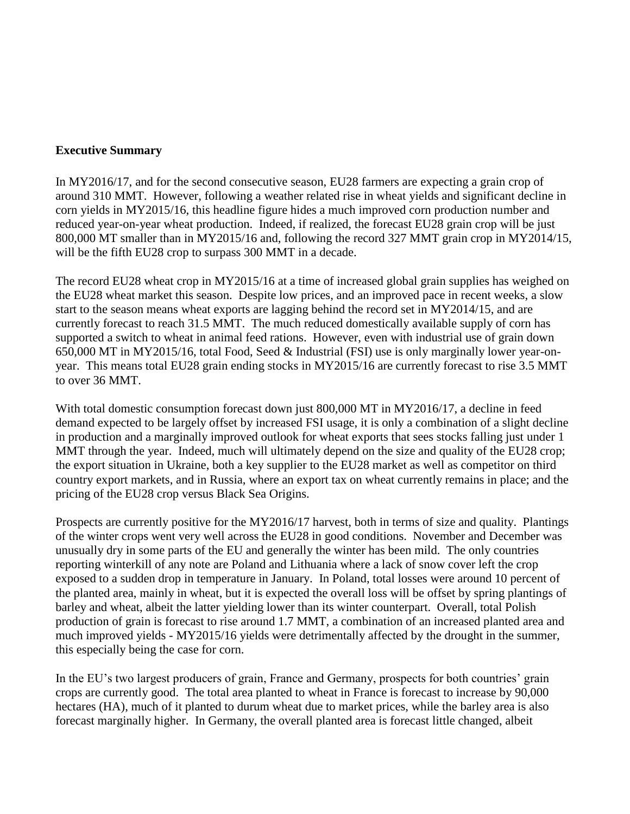#### <span id="page-3-0"></span>**Executive Summary**

In MY2016/17, and for the second consecutive season, EU28 farmers are expecting a grain crop of around 310 MMT. However, following a weather related rise in wheat yields and significant decline in corn yields in MY2015/16, this headline figure hides a much improved corn production number and reduced year-on-year wheat production. Indeed, if realized, the forecast EU28 grain crop will be just 800,000 MT smaller than in MY2015/16 and, following the record 327 MMT grain crop in MY2014/15, will be the fifth EU28 crop to surpass 300 MMT in a decade.

The record EU28 wheat crop in MY2015/16 at a time of increased global grain supplies has weighed on the EU28 wheat market this season. Despite low prices, and an improved pace in recent weeks, a slow start to the season means wheat exports are lagging behind the record set in MY2014/15, and are currently forecast to reach 31.5 MMT. The much reduced domestically available supply of corn has supported a switch to wheat in animal feed rations. However, even with industrial use of grain down 650,000 MT in MY2015/16, total Food, Seed & Industrial (FSI) use is only marginally lower year-onyear. This means total EU28 grain ending stocks in MY2015/16 are currently forecast to rise 3.5 MMT to over 36 MMT.

With total domestic consumption forecast down just 800,000 MT in MY2016/17, a decline in feed demand expected to be largely offset by increased FSI usage, it is only a combination of a slight decline in production and a marginally improved outlook for wheat exports that sees stocks falling just under 1 MMT through the year. Indeed, much will ultimately depend on the size and quality of the EU28 crop; the export situation in Ukraine, both a key supplier to the EU28 market as well as competitor on third country export markets, and in Russia, where an export tax on wheat currently remains in place; and the pricing of the EU28 crop versus Black Sea Origins.

Prospects are currently positive for the MY2016/17 harvest, both in terms of size and quality. Plantings of the winter crops went very well across the EU28 in good conditions. November and December was unusually dry in some parts of the EU and generally the winter has been mild. The only countries reporting winterkill of any note are Poland and Lithuania where a lack of snow cover left the crop exposed to a sudden drop in temperature in January. In Poland, total losses were around 10 percent of the planted area, mainly in wheat, but it is expected the overall loss will be offset by spring plantings of barley and wheat, albeit the latter yielding lower than its winter counterpart. Overall, total Polish production of grain is forecast to rise around 1.7 MMT, a combination of an increased planted area and much improved yields - MY2015/16 yields were detrimentally affected by the drought in the summer, this especially being the case for corn.

In the EU's two largest producers of grain, France and Germany, prospects for both countries' grain crops are currently good. The total area planted to wheat in France is forecast to increase by 90,000 hectares (HA), much of it planted to durum wheat due to market prices, while the barley area is also forecast marginally higher. In Germany, the overall planted area is forecast little changed, albeit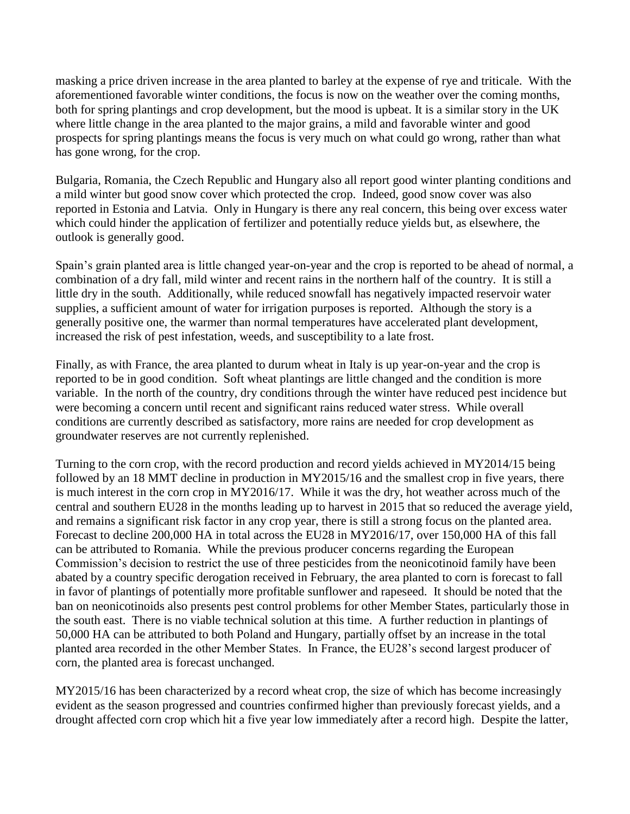masking a price driven increase in the area planted to barley at the expense of rye and triticale. With the aforementioned favorable winter conditions, the focus is now on the weather over the coming months, both for spring plantings and crop development, but the mood is upbeat. It is a similar story in the UK where little change in the area planted to the major grains, a mild and favorable winter and good prospects for spring plantings means the focus is very much on what could go wrong, rather than what has gone wrong, for the crop.

Bulgaria, Romania, the Czech Republic and Hungary also all report good winter planting conditions and a mild winter but good snow cover which protected the crop. Indeed, good snow cover was also reported in Estonia and Latvia. Only in Hungary is there any real concern, this being over excess water which could hinder the application of fertilizer and potentially reduce yields but, as elsewhere, the outlook is generally good.

Spain's grain planted area is little changed year-on-year and the crop is reported to be ahead of normal, a combination of a dry fall, mild winter and recent rains in the northern half of the country. It is still a little dry in the south. Additionally, while reduced snowfall has negatively impacted reservoir water supplies, a sufficient amount of water for irrigation purposes is reported. Although the story is a generally positive one, the warmer than normal temperatures have accelerated plant development, increased the risk of pest infestation, weeds, and susceptibility to a late frost.

Finally, as with France, the area planted to durum wheat in Italy is up year-on-year and the crop is reported to be in good condition. Soft wheat plantings are little changed and the condition is more variable. In the north of the country, dry conditions through the winter have reduced pest incidence but were becoming a concern until recent and significant rains reduced water stress. While overall conditions are currently described as satisfactory, more rains are needed for crop development as groundwater reserves are not currently replenished.

Turning to the corn crop, with the record production and record yields achieved in MY2014/15 being followed by an 18 MMT decline in production in MY2015/16 and the smallest crop in five years, there is much interest in the corn crop in MY2016/17. While it was the dry, hot weather across much of the central and southern EU28 in the months leading up to harvest in 2015 that so reduced the average yield, and remains a significant risk factor in any crop year, there is still a strong focus on the planted area. Forecast to decline 200,000 HA in total across the EU28 in MY2016/17, over 150,000 HA of this fall can be attributed to Romania. While the previous producer concerns regarding the European Commission's decision to restrict the use of three pesticides from the neonicotinoid family have been abated by a country specific derogation received in February, the area planted to corn is forecast to fall in favor of plantings of potentially more profitable sunflower and rapeseed. It should be noted that the ban on neonicotinoids also presents pest control problems for other Member States, particularly those in the south east. There is no viable technical solution at this time. A further reduction in plantings of 50,000 HA can be attributed to both Poland and Hungary, partially offset by an increase in the total planted area recorded in the other Member States. In France, the EU28's second largest producer of corn, the planted area is forecast unchanged.

MY2015/16 has been characterized by a record wheat crop, the size of which has become increasingly evident as the season progressed and countries confirmed higher than previously forecast yields, and a drought affected corn crop which hit a five year low immediately after a record high. Despite the latter,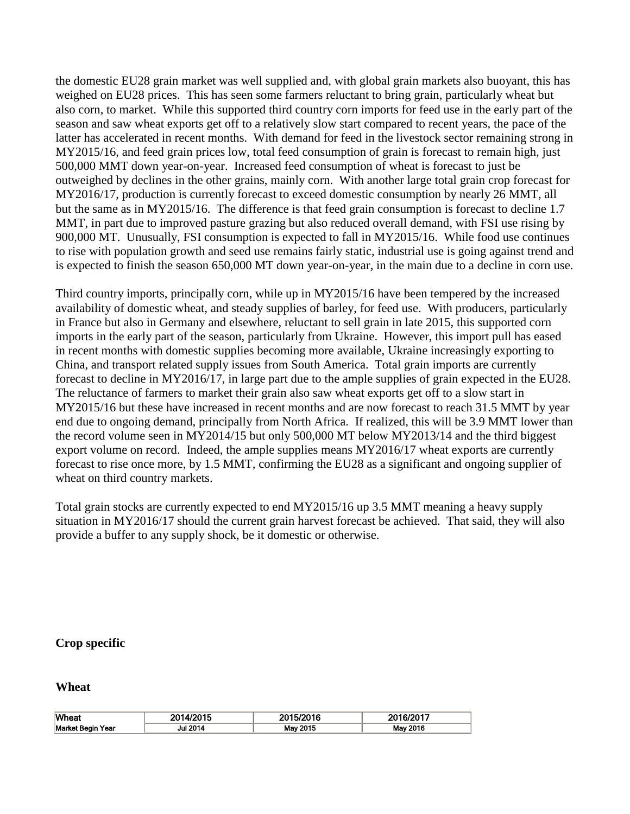the domestic EU28 grain market was well supplied and, with global grain markets also buoyant, this has weighed on EU28 prices. This has seen some farmers reluctant to bring grain, particularly wheat but also corn, to market. While this supported third country corn imports for feed use in the early part of the season and saw wheat exports get off to a relatively slow start compared to recent years, the pace of the latter has accelerated in recent months. With demand for feed in the livestock sector remaining strong in MY2015/16, and feed grain prices low, total feed consumption of grain is forecast to remain high, just 500,000 MMT down year-on-year. Increased feed consumption of wheat is forecast to just be outweighed by declines in the other grains, mainly corn. With another large total grain crop forecast for MY2016/17, production is currently forecast to exceed domestic consumption by nearly 26 MMT, all but the same as in MY2015/16. The difference is that feed grain consumption is forecast to decline 1.7 MMT, in part due to improved pasture grazing but also reduced overall demand, with FSI use rising by 900,000 MT. Unusually, FSI consumption is expected to fall in MY2015/16. While food use continues to rise with population growth and seed use remains fairly static, industrial use is going against trend and is expected to finish the season 650,000 MT down year-on-year, in the main due to a decline in corn use.

Third country imports, principally corn, while up in MY2015/16 have been tempered by the increased availability of domestic wheat, and steady supplies of barley, for feed use. With producers, particularly in France but also in Germany and elsewhere, reluctant to sell grain in late 2015, this supported corn imports in the early part of the season, particularly from Ukraine. However, this import pull has eased in recent months with domestic supplies becoming more available, Ukraine increasingly exporting to China, and transport related supply issues from South America. Total grain imports are currently forecast to decline in MY2016/17, in large part due to the ample supplies of grain expected in the EU28. The reluctance of farmers to market their grain also saw wheat exports get off to a slow start in MY2015/16 but these have increased in recent months and are now forecast to reach 31.5 MMT by year end due to ongoing demand, principally from North Africa. If realized, this will be 3.9 MMT lower than the record volume seen in MY2014/15 but only 500,000 MT below MY2013/14 and the third biggest export volume on record. Indeed, the ample supplies means MY2016/17 wheat exports are currently forecast to rise once more, by 1.5 MMT, confirming the EU28 as a significant and ongoing supplier of wheat on third country markets.

Total grain stocks are currently expected to end MY2015/16 up 3.5 MMT meaning a heavy supply situation in MY2016/17 should the current grain harvest forecast be achieved. That said, they will also provide a buffer to any supply shock, be it domestic or otherwise.

#### <span id="page-5-0"></span>**Crop specific**

<span id="page-5-1"></span>**Wheat**

| <b>Wheat</b>             | 2014/2015       | 5/2016   | 2016/2017 |
|--------------------------|-----------------|----------|-----------|
| <b>Market Begin Year</b> | <b>Jul 2014</b> | May 2015 | May 2016  |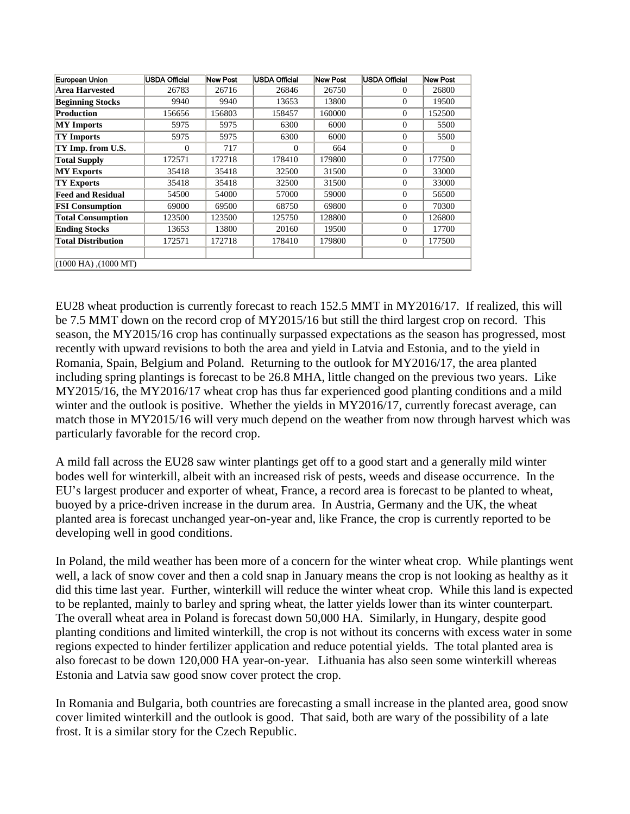| European Union            | <b>USDA Official</b> | <b>New Post</b> | USDA Official | New Post | USDA Official  | New Post |
|---------------------------|----------------------|-----------------|---------------|----------|----------------|----------|
| Area Harvested            | 26783                | 26716           | 26846         | 26750    | $\Omega$       | 26800    |
| <b>Beginning Stocks</b>   | 9940                 | 9940            | 13653         | 13800    | $\Omega$       | 19500    |
| Production                | 156656               | 156803          | 158457        | 160000   | $\Omega$       | 152500   |
| <b>MY</b> Imports         | 5975                 | 5975            | 6300          | 6000     | $\Omega$       | 5500     |
| <b>TY Imports</b>         | 5975                 | 5975            | 6300          | 6000     | $\Omega$       | 5500     |
| TY Imp. from U.S.         | $\Omega$             | 717             | $\Omega$      | 664      | $\Omega$       | 0        |
| <b>Total Supply</b>       | 172571               | 172718          | 178410        | 179800   | $\Omega$       | 177500   |
| <b>MY Exports</b>         | 35418                | 35418           | 32500         | 31500    | $\Omega$       | 33000    |
| <b>TY Exports</b>         | 35418                | 35418           | 32500         | 31500    | $\Omega$       | 33000    |
| <b>Feed and Residual</b>  | 54500                | 54000           | 57000         | 59000    | $\Omega$       | 56500    |
| <b>FSI</b> Consumption    | 69000                | 69500           | 68750         | 69800    | $\Omega$       | 70300    |
| <b>Total Consumption</b>  | 123500               | 123500          | 125750        | 128800   | $\Omega$       | 126800   |
| <b>Ending Stocks</b>      | 13653                | 13800           | 20160         | 19500    | $\Omega$       | 17700    |
| <b>Total Distribution</b> | 172571               | 172718          | 178410        | 179800   | $\overline{0}$ | 177500   |
|                           |                      |                 |               |          |                |          |
| $(1000$ HA), $(1000$ MT)  |                      |                 |               |          |                |          |

EU28 wheat production is currently forecast to reach 152.5 MMT in MY2016/17. If realized, this will be 7.5 MMT down on the record crop of MY2015/16 but still the third largest crop on record. This season, the MY2015/16 crop has continually surpassed expectations as the season has progressed, most recently with upward revisions to both the area and yield in Latvia and Estonia, and to the yield in Romania, Spain, Belgium and Poland. Returning to the outlook for MY2016/17, the area planted including spring plantings is forecast to be 26.8 MHA, little changed on the previous two years. Like MY2015/16, the MY2016/17 wheat crop has thus far experienced good planting conditions and a mild winter and the outlook is positive. Whether the yields in MY2016/17, currently forecast average, can match those in MY2015/16 will very much depend on the weather from now through harvest which was particularly favorable for the record crop.

A mild fall across the EU28 saw winter plantings get off to a good start and a generally mild winter bodes well for winterkill, albeit with an increased risk of pests, weeds and disease occurrence. In the EU's largest producer and exporter of wheat, France, a record area is forecast to be planted to wheat, buoyed by a price-driven increase in the durum area. In Austria, Germany and the UK, the wheat planted area is forecast unchanged year-on-year and, like France, the crop is currently reported to be developing well in good conditions.

In Poland, the mild weather has been more of a concern for the winter wheat crop. While plantings went well, a lack of snow cover and then a cold snap in January means the crop is not looking as healthy as it did this time last year. Further, winterkill will reduce the winter wheat crop. While this land is expected to be replanted, mainly to barley and spring wheat, the latter yields lower than its winter counterpart. The overall wheat area in Poland is forecast down 50,000 HA. Similarly, in Hungary, despite good planting conditions and limited winterkill, the crop is not without its concerns with excess water in some regions expected to hinder fertilizer application and reduce potential yields. The total planted area is also forecast to be down 120,000 HA year-on-year. Lithuania has also seen some winterkill whereas Estonia and Latvia saw good snow cover protect the crop.

In Romania and Bulgaria, both countries are forecasting a small increase in the planted area, good snow cover limited winterkill and the outlook is good. That said, both are wary of the possibility of a late frost. It is a similar story for the Czech Republic.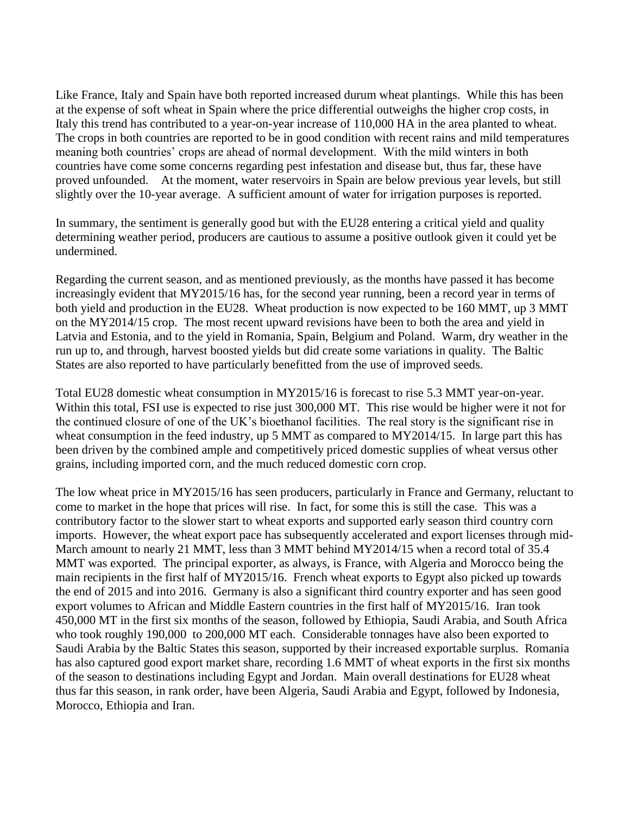Like France, Italy and Spain have both reported increased durum wheat plantings. While this has been at the expense of soft wheat in Spain where the price differential outweighs the higher crop costs, in Italy this trend has contributed to a year-on-year increase of 110,000 HA in the area planted to wheat. The crops in both countries are reported to be in good condition with recent rains and mild temperatures meaning both countries' crops are ahead of normal development. With the mild winters in both countries have come some concerns regarding pest infestation and disease but, thus far, these have proved unfounded. At the moment, water reservoirs in Spain are below previous year levels, but still slightly over the 10-year average. A sufficient amount of water for irrigation purposes is reported.

In summary, the sentiment is generally good but with the EU28 entering a critical yield and quality determining weather period, producers are cautious to assume a positive outlook given it could yet be undermined.

Regarding the current season, and as mentioned previously, as the months have passed it has become increasingly evident that MY2015/16 has, for the second year running, been a record year in terms of both yield and production in the EU28. Wheat production is now expected to be 160 MMT, up 3 MMT on the MY2014/15 crop. The most recent upward revisions have been to both the area and yield in Latvia and Estonia, and to the yield in Romania, Spain, Belgium and Poland. Warm, dry weather in the run up to, and through, harvest boosted yields but did create some variations in quality. The Baltic States are also reported to have particularly benefitted from the use of improved seeds.

Total EU28 domestic wheat consumption in MY2015/16 is forecast to rise 5.3 MMT year-on-year. Within this total, FSI use is expected to rise just 300,000 MT. This rise would be higher were it not for the continued closure of one of the UK's bioethanol facilities. The real story is the significant rise in wheat consumption in the feed industry, up 5 MMT as compared to MY2014/15. In large part this has been driven by the combined ample and competitively priced domestic supplies of wheat versus other grains, including imported corn, and the much reduced domestic corn crop.

The low wheat price in MY2015/16 has seen producers, particularly in France and Germany, reluctant to come to market in the hope that prices will rise. In fact, for some this is still the case. This was a contributory factor to the slower start to wheat exports and supported early season third country corn imports. However, the wheat export pace has subsequently accelerated and export licenses through mid-March amount to nearly 21 MMT, less than 3 MMT behind MY2014/15 when a record total of 35.4 MMT was exported. The principal exporter, as always, is France, with Algeria and Morocco being the main recipients in the first half of MY2015/16. French wheat exports to Egypt also picked up towards the end of 2015 and into 2016. Germany is also a significant third country exporter and has seen good export volumes to African and Middle Eastern countries in the first half of MY2015/16. Iran took 450,000 MT in the first six months of the season, followed by Ethiopia, Saudi Arabia, and South Africa who took roughly 190,000 to 200,000 MT each. Considerable tonnages have also been exported to Saudi Arabia by the Baltic States this season, supported by their increased exportable surplus. Romania has also captured good export market share, recording 1.6 MMT of wheat exports in the first six months of the season to destinations including Egypt and Jordan. Main overall destinations for EU28 wheat thus far this season, in rank order, have been Algeria, Saudi Arabia and Egypt, followed by Indonesia, Morocco, Ethiopia and Iran.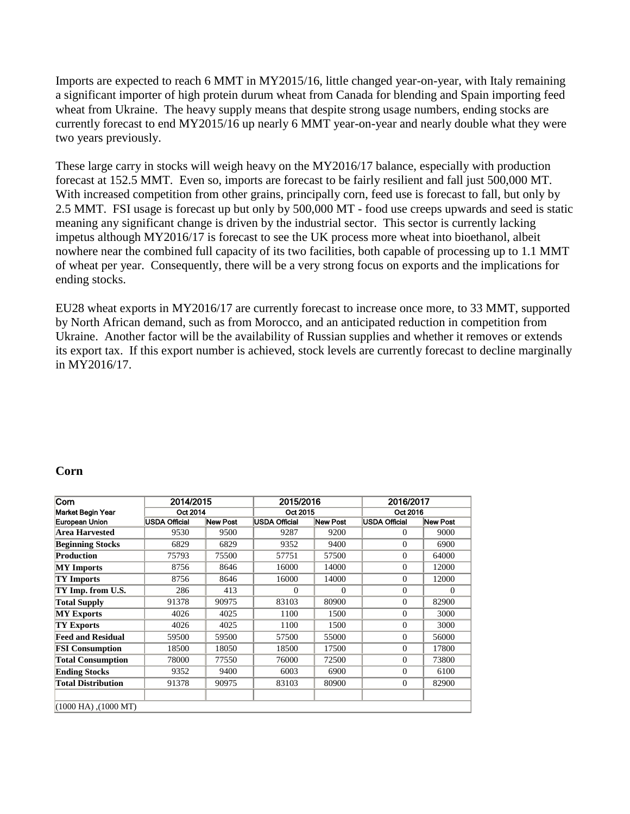Imports are expected to reach 6 MMT in MY2015/16, little changed year-on-year, with Italy remaining a significant importer of high protein durum wheat from Canada for blending and Spain importing feed wheat from Ukraine. The heavy supply means that despite strong usage numbers, ending stocks are currently forecast to end MY2015/16 up nearly 6 MMT year-on-year and nearly double what they were two years previously.

These large carry in stocks will weigh heavy on the MY2016/17 balance, especially with production forecast at 152.5 MMT. Even so, imports are forecast to be fairly resilient and fall just 500,000 MT. With increased competition from other grains, principally corn, feed use is forecast to fall, but only by 2.5 MMT. FSI usage is forecast up but only by 500,000 MT - food use creeps upwards and seed is static meaning any significant change is driven by the industrial sector. This sector is currently lacking impetus although MY2016/17 is forecast to see the UK process more wheat into bioethanol, albeit nowhere near the combined full capacity of its two facilities, both capable of processing up to 1.1 MMT of wheat per year. Consequently, there will be a very strong focus on exports and the implications for ending stocks.

EU28 wheat exports in MY2016/17 are currently forecast to increase once more, to 33 MMT, supported by North African demand, such as from Morocco, and an anticipated reduction in competition from Ukraine. Another factor will be the availability of Russian supplies and whether it removes or extends its export tax. If this export number is achieved, stock levels are currently forecast to decline marginally in MY2016/17.

#### <span id="page-8-0"></span>**Corn**

| Corn                      | 2014/2015     |          | 2015/2016     |                 | 2016/2017     |          |  |
|---------------------------|---------------|----------|---------------|-----------------|---------------|----------|--|
| Market Begin Year         | Oct 2014      |          | Oct 2015      |                 |               | Oct 2016 |  |
| European Union            | USDA Official | New Post | USDA Official | <b>New Post</b> | USDA Official | New Post |  |
| <b>Area Harvested</b>     | 9530          | 9500     | 9287          | 9200            | $\Omega$      | 9000     |  |
| <b>Beginning Stocks</b>   | 6829          | 6829     | 9352          | 9400            | $\Omega$      | 6900     |  |
| Production                | 75793         | 75500    | 57751         | 57500           | $\Omega$      | 64000    |  |
| <b>MY</b> Imports         | 8756          | 8646     | 16000         | 14000           | $\Omega$      | 12000    |  |
| <b>TY Imports</b>         | 8756          | 8646     | 16000         | 14000           | $\Omega$      | 12000    |  |
| TY Imp. from U.S.         | 286           | 413      | $\Omega$      | $\Omega$        | $\Omega$      | $\Omega$ |  |
| <b>Total Supply</b>       | 91378         | 90975    | 83103         | 80900           | $\Omega$      | 82900    |  |
| <b>MY Exports</b>         | 4026          | 4025     | 1100          | 1500            | $\Omega$      | 3000     |  |
| TY Exports                | 4026          | 4025     | 1100          | 1500            | $\Omega$      | 3000     |  |
| <b>Feed and Residual</b>  | 59500         | 59500    | 57500         | 55000           | $\Omega$      | 56000    |  |
| <b>FSI Consumption</b>    | 18500         | 18050    | 18500         | 17500           | $\Omega$      | 17800    |  |
| <b>Total Consumption</b>  | 78000         | 77550    | 76000         | 72500           | $\Omega$      | 73800    |  |
| <b>Ending Stocks</b>      | 9352          | 9400     | 6003          | 6900            | $\Omega$      | 6100     |  |
| <b>Total Distribution</b> | 91378         | 90975    | 83103         | 80900           | $\theta$      | 82900    |  |
|                           |               |          |               |                 |               |          |  |
| $(1000$ HA), $(1000$ MT)  |               |          |               |                 |               |          |  |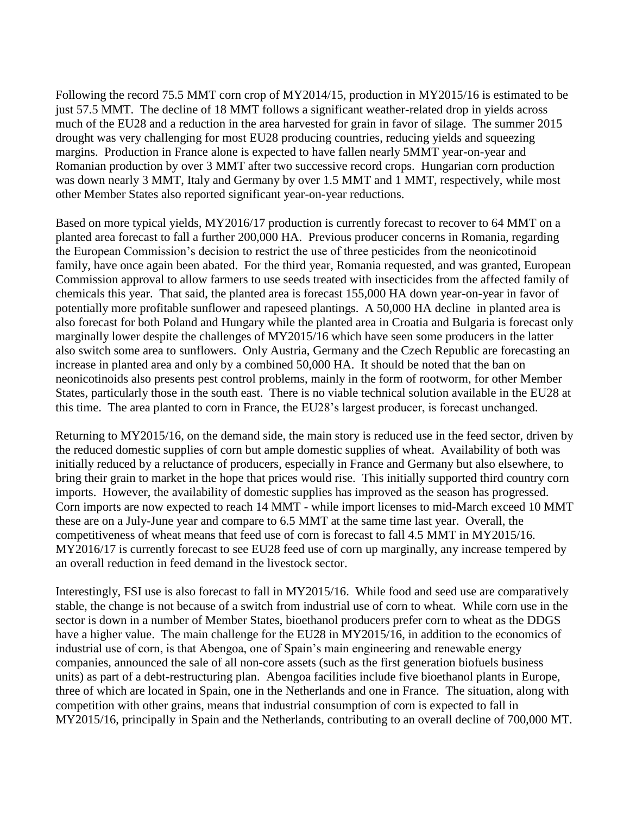Following the record 75.5 MMT corn crop of MY2014/15, production in MY2015/16 is estimated to be just 57.5 MMT. The decline of 18 MMT follows a significant weather-related drop in yields across much of the EU28 and a reduction in the area harvested for grain in favor of silage. The summer 2015 drought was very challenging for most EU28 producing countries, reducing yields and squeezing margins. Production in France alone is expected to have fallen nearly 5MMT year-on-year and Romanian production by over 3 MMT after two successive record crops. Hungarian corn production was down nearly 3 MMT, Italy and Germany by over 1.5 MMT and 1 MMT, respectively, while most other Member States also reported significant year-on-year reductions.

Based on more typical yields, MY2016/17 production is currently forecast to recover to 64 MMT on a planted area forecast to fall a further 200,000 HA. Previous producer concerns in Romania, regarding the European Commission's decision to restrict the use of three pesticides from the neonicotinoid family, have once again been abated. For the third year, Romania requested, and was granted, European Commission approval to allow farmers to use seeds treated with insecticides from the affected family of chemicals this year. That said, the planted area is forecast 155,000 HA down year-on-year in favor of potentially more profitable sunflower and rapeseed plantings. A 50,000 HA decline in planted area is also forecast for both Poland and Hungary while the planted area in Croatia and Bulgaria is forecast only marginally lower despite the challenges of MY2015/16 which have seen some producers in the latter also switch some area to sunflowers. Only Austria, Germany and the Czech Republic are forecasting an increase in planted area and only by a combined 50,000 HA. It should be noted that the ban on neonicotinoids also presents pest control problems, mainly in the form of rootworm, for other Member States, particularly those in the south east. There is no viable technical solution available in the EU28 at this time. The area planted to corn in France, the EU28's largest producer, is forecast unchanged.

Returning to MY2015/16, on the demand side, the main story is reduced use in the feed sector, driven by the reduced domestic supplies of corn but ample domestic supplies of wheat. Availability of both was initially reduced by a reluctance of producers, especially in France and Germany but also elsewhere, to bring their grain to market in the hope that prices would rise. This initially supported third country corn imports. However, the availability of domestic supplies has improved as the season has progressed. Corn imports are now expected to reach 14 MMT - while import licenses to mid-March exceed 10 MMT these are on a July-June year and compare to 6.5 MMT at the same time last year. Overall, the competitiveness of wheat means that feed use of corn is forecast to fall 4.5 MMT in MY2015/16. MY2016/17 is currently forecast to see EU28 feed use of corn up marginally, any increase tempered by an overall reduction in feed demand in the livestock sector.

Interestingly, FSI use is also forecast to fall in MY2015/16. While food and seed use are comparatively stable, the change is not because of a switch from industrial use of corn to wheat. While corn use in the sector is down in a number of Member States, bioethanol producers prefer corn to wheat as the DDGS have a higher value. The main challenge for the EU28 in MY2015/16, in addition to the economics of industrial use of corn, is that Abengoa, one of Spain's main engineering and renewable energy companies, announced the sale of all non-core assets (such as the first generation biofuels business units) as part of a debt-restructuring plan. Abengoa facilities include five bioethanol plants in Europe, three of which are located in Spain, one in the Netherlands and one in France. The situation, along with competition with other grains, means that industrial consumption of corn is expected to fall in MY2015/16, principally in Spain and the Netherlands, contributing to an overall decline of 700,000 MT.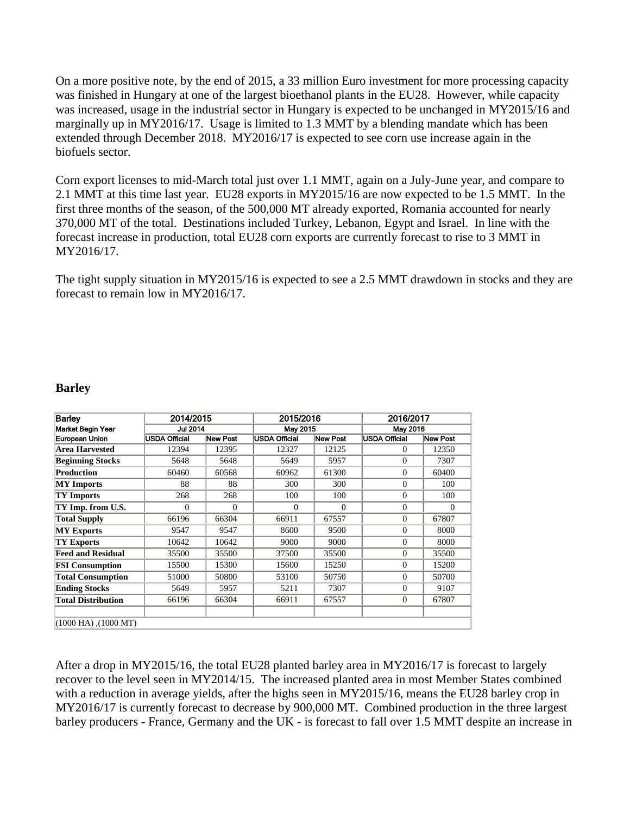On a more positive note, by the end of 2015, a 33 million Euro investment for more processing capacity was finished in Hungary at one of the largest bioethanol plants in the EU28. However, while capacity was increased, usage in the industrial sector in Hungary is expected to be unchanged in MY2015/16 and marginally up in MY2016/17. Usage is limited to 1.3 MMT by a blending mandate which has been extended through December 2018. MY2016/17 is expected to see corn use increase again in the biofuels sector.

Corn export licenses to mid-March total just over 1.1 MMT, again on a July-June year, and compare to 2.1 MMT at this time last year. EU28 exports in MY2015/16 are now expected to be 1.5 MMT. In the first three months of the season, of the 500,000 MT already exported, Romania accounted for nearly 370,000 MT of the total. Destinations included Turkey, Lebanon, Egypt and Israel. In line with the forecast increase in production, total EU28 corn exports are currently forecast to rise to 3 MMT in MY2016/17.

The tight supply situation in MY2015/16 is expected to see a 2.5 MMT drawdown in stocks and they are forecast to remain low in MY2016/17.

#### <span id="page-10-0"></span>**Barley**

| <b>Barley</b>             | 2014/2015            |          | 2015/2016            |          | 2016/2017            |                 |  |
|---------------------------|----------------------|----------|----------------------|----------|----------------------|-----------------|--|
| Market Begin Year         | <b>Jul 2014</b>      |          | May 2015             |          |                      | May 2016        |  |
| European Union            | <b>USDA Official</b> | New Post | <b>USDA Official</b> | New Post | <b>USDA Official</b> | <b>New Post</b> |  |
| Area Harvested            | 12394                | 12395    | 12327                | 12125    | $\Omega$             | 12350           |  |
| <b>Beginning Stocks</b>   | 5648                 | 5648     | 5649                 | 5957     | $\Omega$             | 7307            |  |
| Production                | 60460                | 60568    | 60962                | 61300    | $\Omega$             | 60400           |  |
| <b>MY</b> Imports         | 88                   | 88       | 300                  | 300      | $\Omega$             | 100             |  |
| <b>TY Imports</b>         | 268                  | 268      | 100                  | 100      | $\Omega$             | 100             |  |
| TY Imp. from U.S.         | $\Omega$             | $\Omega$ | $\Omega$             | $\Omega$ | $\Omega$             | $\Omega$        |  |
| <b>Total Supply</b>       | 66196                | 66304    | 66911                | 67557    | $\Omega$             | 67807           |  |
| <b>MY Exports</b>         | 9547                 | 9547     | 8600                 | 9500     | $\Omega$             | 8000            |  |
| TY Exports                | 10642                | 10642    | 9000                 | 9000     | $\Omega$             | 8000            |  |
| <b>Feed and Residual</b>  | 35500                | 35500    | 37500                | 35500    | $\Omega$             | 35500           |  |
| <b>FSI Consumption</b>    | 15500                | 15300    | 15600                | 15250    | $\Omega$             | 15200           |  |
| <b>Total Consumption</b>  | 51000                | 50800    | 53100                | 50750    | $\Omega$             | 50700           |  |
| <b>Ending Stocks</b>      | 5649                 | 5957     | 5211                 | 7307     | $\Omega$             | 9107            |  |
| <b>Total Distribution</b> | 66196                | 66304    | 66911                | 67557    | $\theta$             | 67807           |  |
|                           |                      |          |                      |          |                      |                 |  |
| $(1000$ HA), $(1000$ MT)  |                      |          |                      |          |                      |                 |  |

After a drop in MY2015/16, the total EU28 planted barley area in MY2016/17 is forecast to largely recover to the level seen in MY2014/15. The increased planted area in most Member States combined with a reduction in average yields, after the highs seen in MY2015/16, means the EU28 barley crop in MY2016/17 is currently forecast to decrease by 900,000 MT. Combined production in the three largest barley producers - France, Germany and the UK - is forecast to fall over 1.5 MMT despite an increase in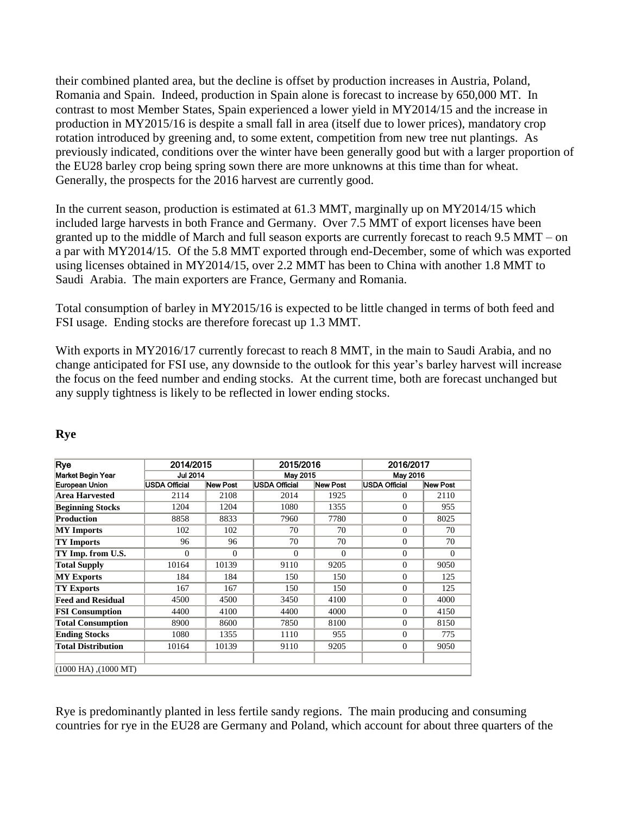their combined planted area, but the decline is offset by production increases in Austria, Poland, Romania and Spain. Indeed, production in Spain alone is forecast to increase by 650,000 MT. In contrast to most Member States, Spain experienced a lower yield in MY2014/15 and the increase in production in MY2015/16 is despite a small fall in area (itself due to lower prices), mandatory crop rotation introduced by greening and, to some extent, competition from new tree nut plantings. As previously indicated, conditions over the winter have been generally good but with a larger proportion of the EU28 barley crop being spring sown there are more unknowns at this time than for wheat. Generally, the prospects for the 2016 harvest are currently good.

In the current season, production is estimated at 61.3 MMT, marginally up on MY2014/15 which included large harvests in both France and Germany. Over 7.5 MMT of export licenses have been granted up to the middle of March and full season exports are currently forecast to reach 9.5 MMT – on a par with MY2014/15. Of the 5.8 MMT exported through end-December, some of which was exported using licenses obtained in MY2014/15, over 2.2 MMT has been to China with another 1.8 MMT to Saudi Arabia. The main exporters are France, Germany and Romania.

Total consumption of barley in MY2015/16 is expected to be little changed in terms of both feed and FSI usage. Ending stocks are therefore forecast up 1.3 MMT.

With exports in MY2016/17 currently forecast to reach 8 MMT, in the main to Saudi Arabia, and no change anticipated for FSI use, any downside to the outlook for this year's barley harvest will increase the focus on the feed number and ending stocks. At the current time, both are forecast unchanged but any supply tightness is likely to be reflected in lower ending stocks.

| Rye                       | 2014/2015            |              | 2015/2016            |          | 2016/2017            |          |  |
|---------------------------|----------------------|--------------|----------------------|----------|----------------------|----------|--|
| Market Begin Year         | <b>Jul 2014</b>      |              | May 2015             |          | May 2016             |          |  |
| European Union            | <b>USDA Official</b> | New Post     | <b>USDA Official</b> | New Post | <b>USDA Official</b> | New Post |  |
| Area Harvested            | 2114                 | 2108         | 2014                 | 1925     | 0                    | 2110     |  |
| <b>Beginning Stocks</b>   | 1204                 | 1204         | 1080                 | 1355     | $\overline{0}$       | 955      |  |
| Production                | 8858                 | 8833         | 7960                 | 7780     | $\overline{0}$       | 8025     |  |
| <b>MY</b> Imports         | 102                  | 102          | 70                   | 70       | $\overline{0}$       | 70       |  |
| <b>TY Imports</b>         | 96                   | 96           | 70                   | 70       | $\Omega$             | 70       |  |
| TY Imp. from U.S.         | $\overline{0}$       | $\mathbf{0}$ | $\theta$             | $\Omega$ | $\overline{0}$       | $\theta$ |  |
| <b>Total Supply</b>       | 10164                | 10139        | 9110                 | 9205     | $\Omega$             | 9050     |  |
| <b>MY Exports</b>         | 184                  | 184          | 150                  | 150      | $\Omega$             | 125      |  |
| <b>TY Exports</b>         | 167                  | 167          | 150                  | 150      | $\Omega$             | 125      |  |
| <b>Feed and Residual</b>  | 4500                 | 4500         | 3450                 | 4100     | $\Omega$             | 4000     |  |
| <b>FSI Consumption</b>    | 4400                 | 4100         | 4400                 | 4000     | $\Omega$             | 4150     |  |
| <b>Total Consumption</b>  | 8900                 | 8600         | 7850                 | 8100     | $\Omega$             | 8150     |  |
| <b>Ending Stocks</b>      | 1080                 | 1355         | 1110                 | 955      | $\Omega$             | 775      |  |
| <b>Total Distribution</b> | 10164                | 10139        | 9110                 | 9205     | $\overline{0}$       | 9050     |  |
|                           |                      |              |                      |          |                      |          |  |
| $(1000$ HA), $(1000$ MT)  |                      |              |                      |          |                      |          |  |

# <span id="page-11-0"></span>**Rye**

Rye is predominantly planted in less fertile sandy regions. The main producing and consuming countries for rye in the EU28 are Germany and Poland, which account for about three quarters of the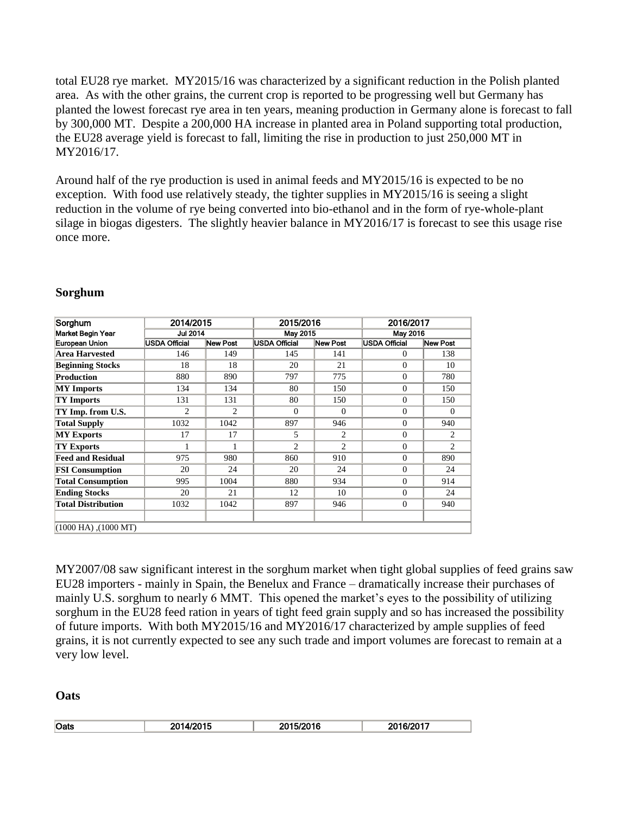total EU28 rye market. MY2015/16 was characterized by a significant reduction in the Polish planted area. As with the other grains, the current crop is reported to be progressing well but Germany has planted the lowest forecast rye area in ten years, meaning production in Germany alone is forecast to fall by 300,000 MT. Despite a 200,000 HA increase in planted area in Poland supporting total production, the EU28 average yield is forecast to fall, limiting the rise in production to just 250,000 MT in MY2016/17.

Around half of the rye production is used in animal feeds and MY2015/16 is expected to be no exception. With food use relatively steady, the tighter supplies in MY2015/16 is seeing a slight reduction in the volume of rye being converted into bio-ethanol and in the form of rye-whole-plant silage in biogas digesters. The slightly heavier balance in MY2016/17 is forecast to see this usage rise once more.

| Sorghum                   | 2014/2015       |                 | 2015/2016            |                |                      | 2016/2017       |  |  |
|---------------------------|-----------------|-----------------|----------------------|----------------|----------------------|-----------------|--|--|
| Market Begin Year         | <b>Jul 2014</b> |                 | May 2015             |                |                      | May 2016        |  |  |
| European Union            | USDA Official   | <b>New Post</b> | <b>USDA Official</b> | New Post       | <b>USDA Official</b> | <b>New Post</b> |  |  |
| Area Harvested            | 146             | 149             | 145                  | 141            | $\Omega$             | 138             |  |  |
| <b>Beginning Stocks</b>   | 18              | 18              | 20                   | 21             | $\Omega$             | 10              |  |  |
| Production                | 880             | 890             | 797                  | 775            | $\Omega$             | 780             |  |  |
| <b>MY</b> Imports         | 134             | 134             | 80                   | 150            | $\Omega$             | 150             |  |  |
| <b>TY Imports</b>         | 131             | 131             | 80                   | 150            | $\Omega$             | 150             |  |  |
| TY Imp. from U.S.         | $\overline{c}$  | $\overline{c}$  | $\Omega$             | $\Omega$       | $\Omega$             | $\Omega$        |  |  |
| <b>Total Supply</b>       | 1032            | 1042            | 897                  | 946            | $\Omega$             | 940             |  |  |
| <b>MY Exports</b>         | 17              | 17              | 5                    | 2              | $\Omega$             | $\overline{2}$  |  |  |
| <b>TY Exports</b>         |                 | 1               | $\mathfrak{D}$       | $\overline{2}$ | $\Omega$             | $\mathfrak{D}$  |  |  |
| <b>Feed and Residual</b>  | 975             | 980             | 860                  | 910            | $\Omega$             | 890             |  |  |
| <b>FSI</b> Consumption    | 20              | 24              | 20                   | 24             | $\Omega$             | 24              |  |  |
| <b>Total Consumption</b>  | 995             | 1004            | 880                  | 934            | $\Omega$             | 914             |  |  |
| <b>Ending Stocks</b>      | 20              | 21              | 12                   | 10             | $\Omega$             | 24              |  |  |
| <b>Total Distribution</b> | 1032            | 1042            | 897                  | 946            | $\overline{0}$       | 940             |  |  |
|                           |                 |                 |                      |                |                      |                 |  |  |
| $(1000$ HA), $(1000$ MT)  |                 |                 |                      |                |                      |                 |  |  |

## <span id="page-12-0"></span>**Sorghum**

MY2007/08 saw significant interest in the sorghum market when tight global supplies of feed grains saw EU28 importers - mainly in Spain, the Benelux and France – dramatically increase their purchases of mainly U.S. sorghum to nearly 6 MMT. This opened the market's eyes to the possibility of utilizing sorghum in the EU28 feed ration in years of tight feed grain supply and so has increased the possibility of future imports. With both MY2015/16 and MY2016/17 characterized by ample supplies of feed grains, it is not currently expected to see any such trade and import volumes are forecast to remain at a very low level.

<span id="page-12-1"></span>**Oats**

| <b>Oats</b> | $\sim$ $\sim$<br>ארי<br>. . | דו חמי<br>. |
|-------------|-----------------------------|-------------|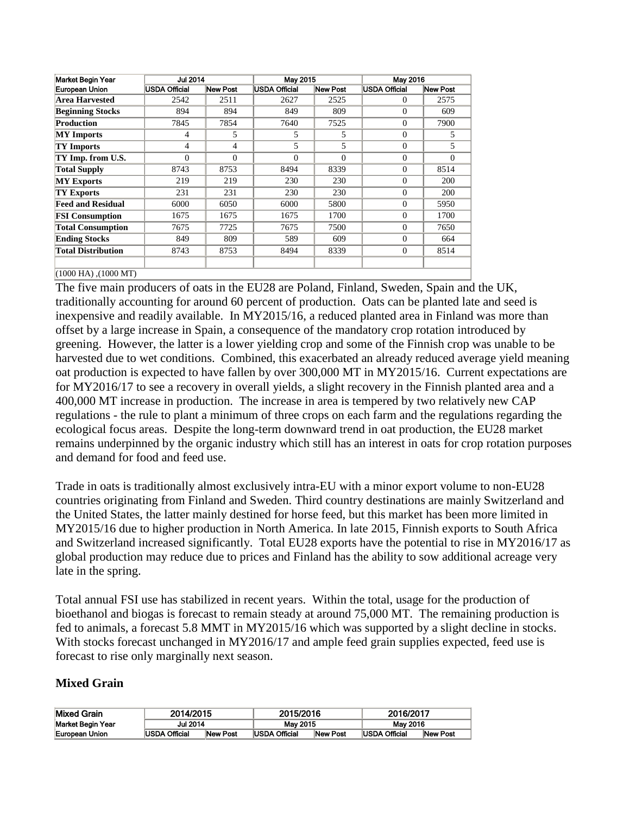| Market Begin Year         | <b>Jul 2014</b> |          | May 2015      |                 | May 2016      |            |
|---------------------------|-----------------|----------|---------------|-----------------|---------------|------------|
| European Union            | USDA Official   | New Post | USDA Official | <b>New Post</b> | USDA Official | New Post   |
| Area Harvested            | 2542            | 2511     | 2627          | 2525            | $\Omega$      | 2575       |
| <b>Beginning Stocks</b>   | 894             | 894      | 849           | 809             | $\Omega$      | 609        |
| Production                | 7845            | 7854     | 7640          | 7525            | $\Omega$      | 7900       |
| <b>MY</b> Imports         | 4               | 5        | 5             | 5               | $\Omega$      | 5          |
| <b>TY Imports</b>         | $\overline{4}$  | 4        | 5             | 5               | $\Omega$      | 5          |
| TY Imp. from U.S.         | $\Omega$        | $\Omega$ | $\Omega$      | $\Omega$        | $\Omega$      | $\Omega$   |
| <b>Total Supply</b>       | 8743            | 8753     | 8494          | 8339            | $\Omega$      | 8514       |
| <b>MY Exports</b>         | 219             | 219      | 230           | 230             | $\Omega$      | <b>200</b> |
| <b>TY Exports</b>         | 231             | 231      | 230           | 230             | $\Omega$      | <b>200</b> |
| <b>Feed and Residual</b>  | 6000            | 6050     | 6000          | 5800            | $\Omega$      | 5950       |
| <b>FSI Consumption</b>    | 1675            | 1675     | 1675          | 1700            | $\Omega$      | 1700       |
| <b>Total Consumption</b>  | 7675            | 7725     | 7675          | 7500            | $\Omega$      | 7650       |
| <b>Ending Stocks</b>      | 849             | 809      | 589           | 609             | $\Omega$      | 664        |
| <b>Total Distribution</b> | 8743            | 8753     | 8494          | 8339            | $\Omega$      | 8514       |
|                           |                 |          |               |                 |               |            |
| $(1000$ HA), $(1000$ MT)  |                 |          |               |                 |               |            |

The five main producers of oats in the EU28 are Poland, Finland, Sweden, Spain and the UK, traditionally accounting for around 60 percent of production. Oats can be planted late and seed is inexpensive and readily available. In MY2015/16, a reduced planted area in Finland was more than offset by a large increase in Spain, a consequence of the mandatory crop rotation introduced by greening. However, the latter is a lower yielding crop and some of the Finnish crop was unable to be harvested due to wet conditions. Combined, this exacerbated an already reduced average yield meaning oat production is expected to have fallen by over 300,000 MT in MY2015/16. Current expectations are for MY2016/17 to see a recovery in overall yields, a slight recovery in the Finnish planted area and a 400,000 MT increase in production. The increase in area is tempered by two relatively new CAP regulations - the rule to plant a minimum of three crops on each farm and the regulations regarding the ecological focus areas. Despite the long-term downward trend in oat production, the EU28 market remains underpinned by the organic industry which still has an interest in oats for crop rotation purposes and demand for food and feed use.

Trade in oats is traditionally almost exclusively intra-EU with a minor export volume to non-EU28 countries originating from Finland and Sweden. Third country destinations are mainly Switzerland and the United States, the latter mainly destined for horse feed, but this market has been more limited in MY2015/16 due to higher production in North America. In late 2015, Finnish exports to South Africa and Switzerland increased significantly. Total EU28 exports have the potential to rise in MY2016/17 as global production may reduce due to prices and Finland has the ability to sow additional acreage very late in the spring.

Total annual FSI use has stabilized in recent years. Within the total, usage for the production of bioethanol and biogas is forecast to remain steady at around 75,000 MT. The remaining production is fed to animals, a forecast 5.8 MMT in MY2015/16 which was supported by a slight decline in stocks. With stocks forecast unchanged in MY2016/17 and ample feed grain supplies expected, feed use is forecast to rise only marginally next season.

## <span id="page-13-0"></span>**Mixed Grain**

| <b>Mixed Grain</b>       | 2014/2015            |                 |                      | 2015/2016       |               | 2016/2017 |  |
|--------------------------|----------------------|-----------------|----------------------|-----------------|---------------|-----------|--|
| <b>Market Begin Year</b> | <b>Jul 2014</b>      |                 | May 2015             |                 | May 2016      |           |  |
| European Union           | <b>USDA Official</b> | <b>New Post</b> | <b>USDA Official</b> | <b>New Post</b> | USDA Official | New Post  |  |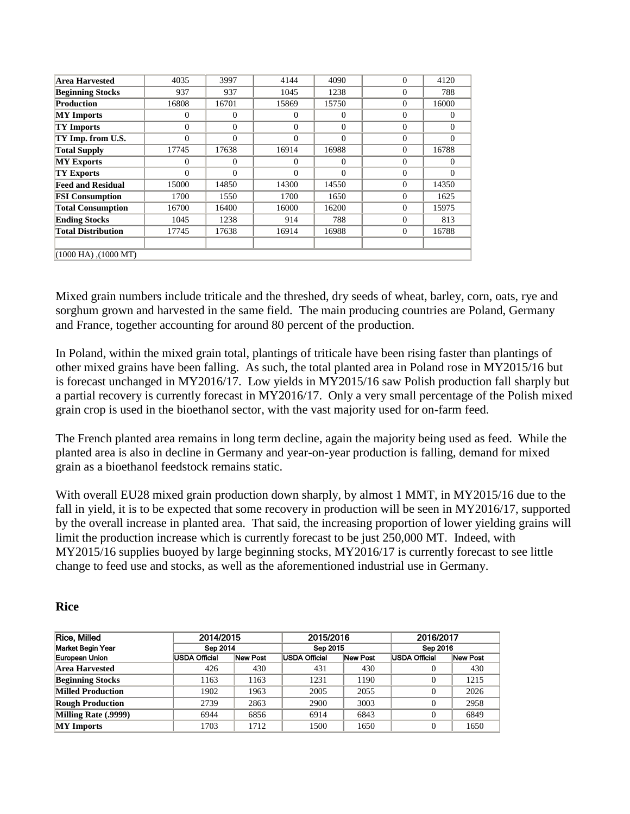| Area Harvested            | 4035     | 3997     | 4144     | 4090     | $\theta$       | 4120     |
|---------------------------|----------|----------|----------|----------|----------------|----------|
| <b>Beginning Stocks</b>   | 937      | 937      | 1045     | 1238     | $\Omega$       | 788      |
| <b>Production</b>         | 16808    | 16701    | 15869    | 15750    | $\Omega$       | 16000    |
| <b>MY</b> Imports         | $\Omega$ | $\Omega$ | $\Omega$ | $\Omega$ | $\Omega$       | $\Omega$ |
| <b>TY Imports</b>         | $\theta$ | $\Omega$ | $\theta$ | $\Omega$ | $\Omega$       | 0        |
| TY Imp. from U.S.         | $\theta$ | $\theta$ | $\Omega$ | $\Omega$ | $\Omega$       | $\Omega$ |
| <b>Total Supply</b>       | 17745    | 17638    | 16914    | 16988    | $\theta$       | 16788    |
| <b>MY Exports</b>         | $\Omega$ | $\Omega$ | 0        | $\Omega$ | $\overline{0}$ | 0        |
| <b>TY Exports</b>         | $\Omega$ | $\Omega$ | $\Omega$ | 0        | $\Omega$       | $\Omega$ |
| <b>Feed and Residual</b>  | 15000    | 14850    | 14300    | 14550    | $\Omega$       | 14350    |
| <b>FSI Consumption</b>    | 1700     | 1550     | 1700     | 1650     | $\overline{0}$ | 1625     |
| <b>Total Consumption</b>  | 16700    | 16400    | 16000    | 16200    | $\Omega$       | 15975    |
| <b>Ending Stocks</b>      | 1045     | 1238     | 914      | 788      | $\Omega$       | 813      |
| <b>Total Distribution</b> | 17745    | 17638    | 16914    | 16988    | $\overline{0}$ | 16788    |
|                           |          |          |          |          |                |          |
| $(1000$ HA), $(1000$ MT)  |          |          |          |          |                |          |

Mixed grain numbers include triticale and the threshed, dry seeds of wheat, barley, corn, oats, rye and sorghum grown and harvested in the same field. The main producing countries are Poland, Germany and France, together accounting for around 80 percent of the production.

In Poland, within the mixed grain total, plantings of triticale have been rising faster than plantings of other mixed grains have been falling. As such, the total planted area in Poland rose in MY2015/16 but is forecast unchanged in MY2016/17. Low yields in MY2015/16 saw Polish production fall sharply but a partial recovery is currently forecast in MY2016/17. Only a very small percentage of the Polish mixed grain crop is used in the bioethanol sector, with the vast majority used for on-farm feed.

The French planted area remains in long term decline, again the majority being used as feed. While the planted area is also in decline in Germany and year-on-year production is falling, demand for mixed grain as a bioethanol feedstock remains static.

With overall EU28 mixed grain production down sharply, by almost 1 MMT, in MY2015/16 due to the fall in yield, it is to be expected that some recovery in production will be seen in MY2016/17, supported by the overall increase in planted area. That said, the increasing proportion of lower yielding grains will limit the production increase which is currently forecast to be just 250,000 MT. Indeed, with MY2015/16 supplies buoyed by large beginning stocks, MY2016/17 is currently forecast to see little change to feed use and stocks, as well as the aforementioned industrial use in Germany.

#### <span id="page-14-0"></span>**Rice**

| Rice, Milled             | 2014/2015     |          | 2015/2016     |          |               | 2016/2017 |  |
|--------------------------|---------------|----------|---------------|----------|---------------|-----------|--|
| Market Begin Year        | Sep 2014      |          | Sep 2015      |          | Sep 2016      |           |  |
| European Union           | USDA Official | New Post | USDA Official | New Post | USDA Official | New Post  |  |
| Area Harvested           | 426           | 430      | 431           | 430      |               | 430       |  |
| <b>Beginning Stocks</b>  | 1163          | 1163     | 1231          | 1190     | 0             | 1215      |  |
| <b>Milled Production</b> | 1902          | 1963     | 2005          | 2055     | 0             | 2026      |  |
| <b>Rough Production</b>  | 2739          | 2863     | 2900          | 3003     | 0             | 2958      |  |
| Milling Rate (.9999)     | 6944          | 6856     | 6914          | 6843     | 0             | 6849      |  |
| <b>MY</b> Imports        | 1703          | 1712     | 1500          | 1650     | 0             | 1650      |  |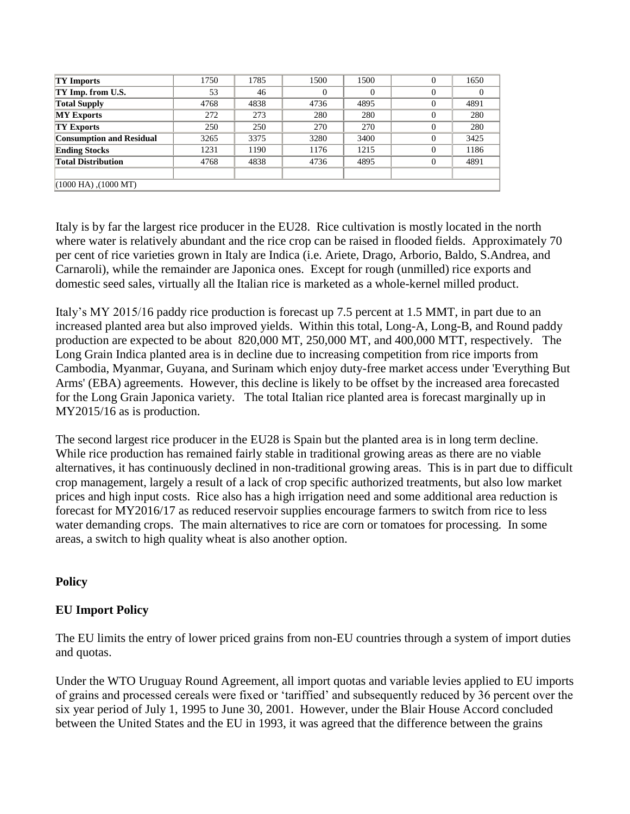| <b>TY Imports</b>               | 1750 | 1785 | 1500 | 1500 |          | 1650 |  |
|---------------------------------|------|------|------|------|----------|------|--|
| TY Imp. from U.S.               | 53   | 46   |      |      | 0        |      |  |
| <b>Total Supply</b>             | 4768 | 4838 | 4736 | 4895 | $\theta$ | 4891 |  |
| <b>MY Exports</b>               | 272  | 273  | 280  | 280  | 0        | 280  |  |
| <b>TY Exports</b>               | 250  | 250  | 270  | 270  | $\Omega$ | 280  |  |
| <b>Consumption and Residual</b> | 3265 | 3375 | 3280 | 3400 | 0        | 3425 |  |
| <b>Ending Stocks</b>            | 1231 | 1190 | 1176 | 1215 | 0        | 1186 |  |
| <b>Total Distribution</b>       | 4768 | 4838 | 4736 | 4895 | $\Omega$ | 4891 |  |
|                                 |      |      |      |      |          |      |  |
| $(1000$ HA), $(1000$ MT)        |      |      |      |      |          |      |  |

Italy is by far the largest rice producer in the EU28. Rice cultivation is mostly located in the north where water is relatively abundant and the rice crop can be raised in flooded fields. Approximately 70 per cent of rice varieties grown in Italy are Indica (i.e. Ariete, Drago, Arborio, Baldo, S.Andrea, and Carnaroli), while the remainder are Japonica ones. Except for rough (unmilled) rice exports and domestic seed sales, virtually all the Italian rice is marketed as a whole-kernel milled product.

Italy's MY 2015/16 paddy rice production is forecast up 7.5 percent at 1.5 MMT, in part due to an increased planted area but also improved yields. Within this total, Long-A, Long-B, and Round paddy production are expected to be about 820,000 MT, 250,000 MT, and 400,000 MTT, respectively. The Long Grain Indica planted area is in decline due to increasing competition from rice imports from Cambodia, Myanmar, Guyana, and Surinam which enjoy duty-free market access under 'Everything But Arms' (EBA) agreements. However, this decline is likely to be offset by the increased area forecasted for the Long Grain Japonica variety. The total Italian rice planted area is forecast marginally up in MY2015/16 as is production.

The second largest rice producer in the EU28 is Spain but the planted area is in long term decline. While rice production has remained fairly stable in traditional growing areas as there are no viable alternatives, it has continuously declined in non-traditional growing areas. This is in part due to difficult crop management, largely a result of a lack of crop specific authorized treatments, but also low market prices and high input costs. Rice also has a high irrigation need and some additional area reduction is forecast for MY2016/17 as reduced reservoir supplies encourage farmers to switch from rice to less water demanding crops. The main alternatives to rice are corn or tomatoes for processing. In some areas, a switch to high quality wheat is also another option.

## <span id="page-15-0"></span>**Policy**

## <span id="page-15-1"></span>**EU Import Policy**

The EU limits the entry of lower priced grains from non-EU countries through a system of import duties and quotas.

Under the WTO Uruguay Round Agreement, all import quotas and variable levies applied to EU imports of grains and processed cereals were fixed or 'tariffied' and subsequently reduced by 36 percent over the six year period of July 1, 1995 to June 30, 2001. However, under the Blair House Accord concluded between the United States and the EU in 1993, it was agreed that the difference between the grains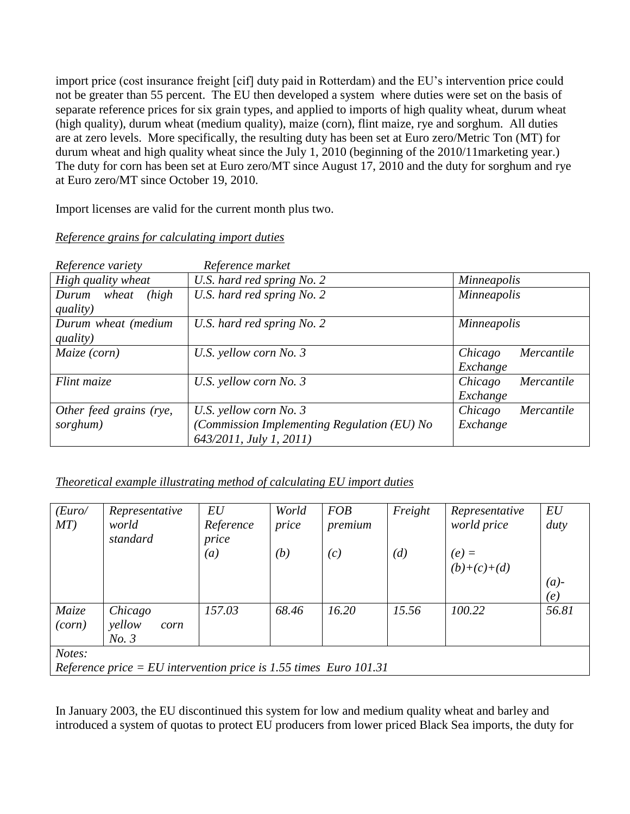import price (cost insurance freight [cif] duty paid in Rotterdam) and the EU's intervention price could not be greater than 55 percent. The EU then developed a system where duties were set on the basis of separate reference prices for six grain types, and applied to imports of high quality wheat, durum wheat (high quality), durum wheat (medium quality), maize (corn), flint maize, rye and sorghum. All duties are at zero levels. More specifically, the resulting duty has been set at Euro zero/Metric Ton (MT) for durum wheat and high quality wheat since the July 1, 2010 (beginning of the 2010/11marketing year.) The duty for corn has been set at Euro zero/MT since August 17, 2010 and the duty for sorghum and rye at Euro zero/MT since October 19, 2010.

Import licenses are valid for the current month plus two.

|  | Reference grains for calculating import duties |  |  |  |
|--|------------------------------------------------|--|--|--|
|  |                                                |  |  |  |

| Reference variety                                      | Reference market                           |                       |  |  |
|--------------------------------------------------------|--------------------------------------------|-----------------------|--|--|
| High quality wheat                                     | U.S. hard red spring No. 2                 | <b>Minneapolis</b>    |  |  |
| U.S. hard red spring No. 2<br>(high)<br>wheat<br>Durum |                                            | Minneapolis           |  |  |
| quality)                                               |                                            |                       |  |  |
| Durum wheat (medium                                    | U.S. hard red spring No. 2                 | <i>Minneapolis</i>    |  |  |
| quality)                                               |                                            |                       |  |  |
| Maize (corn)                                           | U.S. yellow corn No. 3                     | Mercantile<br>Chicago |  |  |
|                                                        |                                            | Exchange              |  |  |
| Flint maize                                            | U.S. yellow corn No. 3                     | Chicago<br>Mercantile |  |  |
|                                                        |                                            | Exchange              |  |  |
| Other feed grains (rye,                                | U.S. yellow corn No. 3                     | Chicago<br>Mercantile |  |  |
| sorghum)                                               | Commission Implementing Regulation (EU) No | Exchange              |  |  |
|                                                        | 643/2011, July 1, 2011)                    |                       |  |  |

*Theoretical example illustrating method of calculating EU import duties*

| (Euro/<br>MT)                                                               | Representative<br>world<br>standard | EU<br>Reference<br>price | World<br>price | <b>FOB</b><br>premium | Freight | Representative<br>world price | EU<br>duty     |  |
|-----------------------------------------------------------------------------|-------------------------------------|--------------------------|----------------|-----------------------|---------|-------------------------------|----------------|--|
|                                                                             |                                     | (a)                      | (b)            | (c)                   | (d)     | $(e) =$<br>$(b)+(c)+(d)$      | $(a)$ -<br>(e) |  |
| Maize<br>(corn)                                                             | Chicago<br>yellow<br>corn<br>No. 3  | 157.03                   | 68.46          | 16.20                 | 15.56   | 100.22                        | 56.81          |  |
| Notes:<br>Reference price = EU intervention price is 1.55 times Euro 101.31 |                                     |                          |                |                       |         |                               |                |  |

In January 2003, the EU discontinued this system for low and medium quality wheat and barley and introduced a system of quotas to protect EU producers from lower priced Black Sea imports, the duty for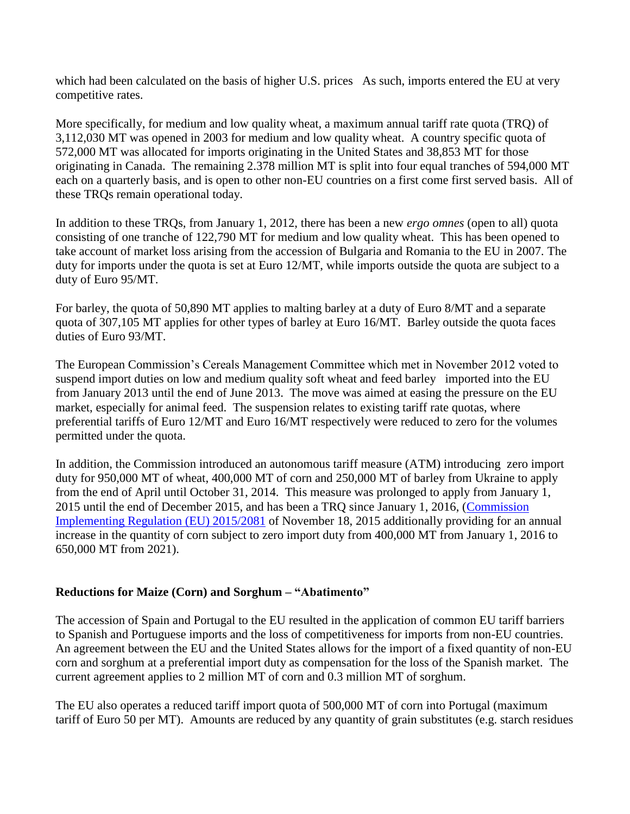which had been calculated on the basis of higher U.S. prices As such, imports entered the EU at very competitive rates.

More specifically, for medium and low quality wheat, a maximum annual tariff rate quota (TRQ) of 3,112,030 MT was opened in 2003 for medium and low quality wheat. A country specific quota of 572,000 MT was allocated for imports originating in the United States and 38,853 MT for those originating in Canada. The remaining 2.378 million MT is split into four equal tranches of 594,000 MT each on a quarterly basis, and is open to other non-EU countries on a first come first served basis. All of these TRQs remain operational today.

In addition to these TRQs, from January 1, 2012, there has been a new *ergo omnes* (open to all) quota consisting of one tranche of 122,790 MT for medium and low quality wheat. This has been opened to take account of market loss arising from the accession of Bulgaria and Romania to the EU in 2007*.* The duty for imports under the quota is set at Euro 12/MT, while imports outside the quota are subject to a duty of Euro 95/MT.

For barley, the quota of 50,890 MT applies to malting barley at a duty of Euro 8/MT and a separate quota of 307,105 MT applies for other types of barley at Euro 16/MT. Barley outside the quota faces duties of Euro 93/MT.

The European Commission's Cereals Management Committee which met in November 2012 voted to suspend import duties on low and medium quality soft wheat and feed barley imported into the EU from January 2013 until the end of June 2013. The move was aimed at easing the pressure on the EU market, especially for animal feed. The suspension relates to existing tariff rate quotas, where preferential tariffs of Euro 12/MT and Euro 16/MT respectively were reduced to zero for the volumes permitted under the quota.

In addition, the Commission introduced an autonomous tariff measure (ATM) introducing zero import duty for 950,000 MT of wheat, 400,000 MT of corn and 250,000 MT of barley from Ukraine to apply from the end of April until October 31, 2014. This measure was prolonged to apply from January 1, 2015 until the end of December 2015, and has been a TRQ since January 1, 2016, [\(Commission](http://eur-lex.europa.eu/legal-content/EN/TXT/PDF/?uri=CELEX:32015R2081&qid=1458041572614&from=EN)  [Implementing Regulation \(EU\) 2015/2081](http://eur-lex.europa.eu/legal-content/EN/TXT/PDF/?uri=CELEX:32015R2081&qid=1458041572614&from=EN) of November 18, 2015 additionally providing for an annual increase in the quantity of corn subject to zero import duty from 400,000 MT from January 1, 2016 to 650,000 MT from 2021).

## <span id="page-17-0"></span>**Reductions for Maize (Corn) and Sorghum – "Abatimento"**

The accession of Spain and Portugal to the EU resulted in the application of common EU tariff barriers to Spanish and Portuguese imports and the loss of competitiveness for imports from non-EU countries. An agreement between the EU and the United States allows for the import of a fixed quantity of non-EU corn and sorghum at a preferential import duty as compensation for the loss of the Spanish market. The current agreement applies to 2 million MT of corn and 0.3 million MT of sorghum.

The EU also operates a reduced tariff import quota of 500,000 MT of corn into Portugal (maximum tariff of Euro 50 per MT). Amounts are reduced by any quantity of grain substitutes (e.g. starch residues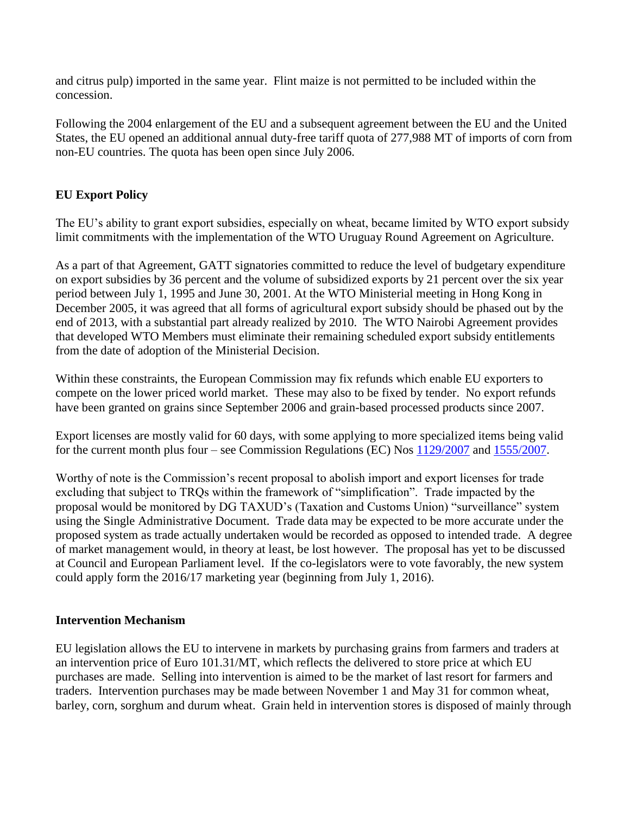and citrus pulp) imported in the same year. Flint maize is not permitted to be included within the concession.

Following the 2004 enlargement of the EU and a subsequent agreement between the EU and the United States, the EU opened an additional annual duty-free tariff quota of 277,988 MT of imports of corn from non-EU countries. The quota has been open since July 2006.

## <span id="page-18-0"></span>**EU Export Policy**

The EU's ability to grant export subsidies, especially on wheat, became limited by WTO export subsidy limit commitments with the implementation of the WTO Uruguay Round Agreement on Agriculture.

As a part of that Agreement, GATT signatories committed to reduce the level of budgetary expenditure on export subsidies by 36 percent and the volume of subsidized exports by 21 percent over the six year period between July 1, 1995 and June 30, 2001. At the WTO Ministerial meeting in Hong Kong in December 2005, it was agreed that all forms of agricultural export subsidy should be phased out by the end of 2013, with a substantial part already realized by 2010. The WTO Nairobi Agreement provides that developed WTO Members must eliminate their remaining scheduled export subsidy entitlements from the date of adoption of the Ministerial Decision.

Within these constraints, the European Commission may fix refunds which enable EU exporters to compete on the lower priced world market. These may also to be fixed by tender. No export refunds have been granted on grains since September 2006 and grain-based processed products since 2007.

Export licenses are mostly valid for 60 days, with some applying to more specialized items being valid for the current month plus four – see Commission Regulations (EC) Nos [1129/2007](http://eur-lex.europa.eu/legal-content/EN/TXT/PDF/?uri=CELEX:32007R1129&rid=1) and [1555/2007.](http://eur-lex.europa.eu/legal-content/EN/TXT/PDF/?uri=CELEX:32007R1555&rid=1)

Worthy of note is the Commission's recent proposal to abolish import and export licenses for trade excluding that subject to TRQs within the framework of "simplification". Trade impacted by the proposal would be monitored by DG TAXUD's (Taxation and Customs Union) "surveillance" system using the Single Administrative Document. Trade data may be expected to be more accurate under the proposed system as trade actually undertaken would be recorded as opposed to intended trade. A degree of market management would, in theory at least, be lost however. The proposal has yet to be discussed at Council and European Parliament level. If the co-legislators were to vote favorably, the new system could apply form the 2016/17 marketing year (beginning from July 1, 2016).

#### <span id="page-18-1"></span>**Intervention Mechanism**

EU legislation allows the EU to intervene in markets by purchasing grains from farmers and traders at an intervention price of Euro 101.31/MT, which reflects the delivered to store price at which EU purchases are made. Selling into intervention is aimed to be the market of last resort for farmers and traders. Intervention purchases may be made between November 1 and May 31 for common wheat, barley, corn, sorghum and durum wheat. Grain held in intervention stores is disposed of mainly through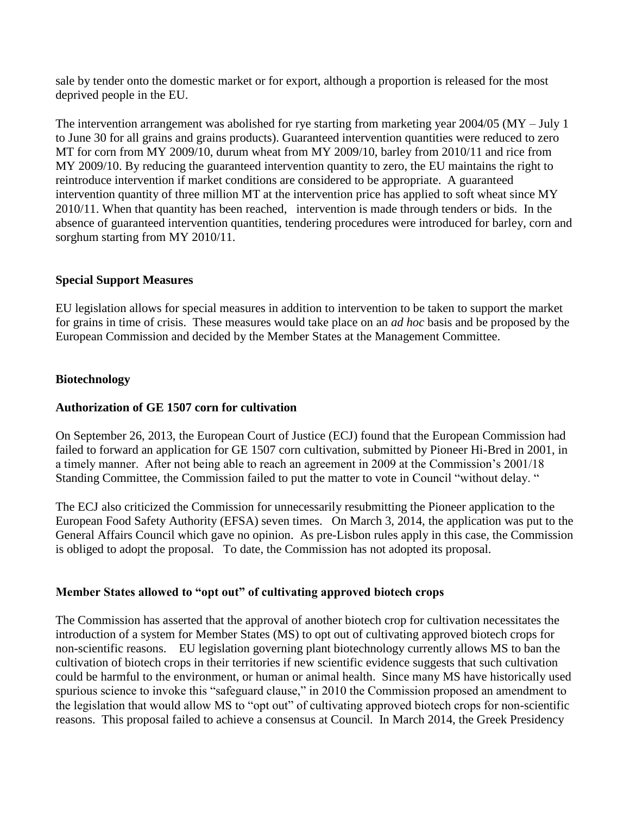sale by tender onto the domestic market or for export, although a proportion is released for the most deprived people in the EU.

The intervention arrangement was abolished for rye starting from marketing year 2004/05 (MY – July 1 to June 30 for all grains and grains products). Guaranteed intervention quantities were reduced to zero MT for corn from MY 2009/10, durum wheat from MY 2009/10, barley from 2010/11 and rice from MY 2009/10. By reducing the guaranteed intervention quantity to zero, the EU maintains the right to reintroduce intervention if market conditions are considered to be appropriate. A guaranteed intervention quantity of three million MT at the intervention price has applied to soft wheat since MY 2010/11. When that quantity has been reached, intervention is made through tenders or bids. In the absence of guaranteed intervention quantities, tendering procedures were introduced for barley, corn and sorghum starting from MY 2010/11.

## <span id="page-19-0"></span>**Special Support Measures**

EU legislation allows for special measures in addition to intervention to be taken to support the market for grains in time of crisis. These measures would take place on an *ad hoc* basis and be proposed by the European Commission and decided by the Member States at the Management Committee.

## <span id="page-19-1"></span>**Biotechnology**

## <span id="page-19-2"></span>**Authorization of GE 1507 corn for cultivation**

On September 26, 2013, the European Court of Justice (ECJ) found that the European Commission had failed to forward an application for GE 1507 corn cultivation, submitted by Pioneer Hi-Bred in 2001, in a timely manner. After not being able to reach an agreement in 2009 at the Commission's 2001/18 Standing Committee, the Commission failed to put the matter to vote in Council "without delay. "

The ECJ also criticized the Commission for unnecessarily resubmitting the Pioneer application to the European Food Safety Authority (EFSA) seven times. On March 3, 2014, the application was put to the General Affairs Council which gave no opinion. As pre-Lisbon rules apply in this case, the Commission is obliged to adopt the proposal. To date, the Commission has not adopted its proposal.

## <span id="page-19-3"></span>**Member States allowed to "opt out" of cultivating approved biotech crops**

The Commission has asserted that the approval of another biotech crop for cultivation necessitates the introduction of a system for Member States (MS) to opt out of cultivating approved biotech crops for non-scientific reasons. EU legislation governing plant biotechnology currently allows MS to ban the cultivation of biotech crops in their territories if new scientific evidence suggests that such cultivation could be harmful to the environment, or human or animal health. Since many MS have historically used spurious science to invoke this "safeguard clause," in 2010 the Commission proposed an amendment to the legislation that would allow MS to "opt out" of cultivating approved biotech crops for non-scientific reasons. This proposal failed to achieve a consensus at Council. In March 2014, the Greek Presidency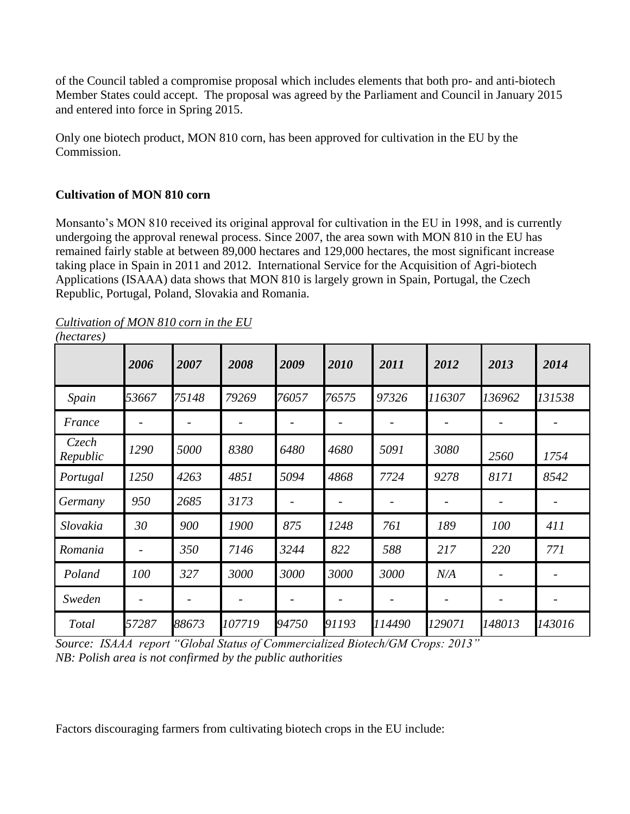of the Council tabled a compromise proposal which includes elements that both pro- and anti-biotech Member States could accept. The proposal was agreed by the Parliament and Council in January 2015 and entered into force in Spring 2015.

Only one biotech product, MON 810 corn, has been approved for cultivation in the EU by the Commission.

# <span id="page-20-0"></span>**Cultivation of MON 810 corn**

Monsanto's MON 810 received its original approval for cultivation in the EU in 1998, and is currently undergoing the approval renewal process. Since 2007, the area sown with MON 810 in the EU has remained fairly stable at between 89,000 hectares and 129,000 hectares, the most significant increase taking place in Spain in 2011 and 2012. International Service for the Acquisition of Agri-biotech Applications (ISAAA) data shows that MON 810 is largely grown in Spain, Portugal, the Czech Republic, Portugal, Poland, Slovakia and Romania.

|                   | 2006  | 2007  | 2008                     | 2009  | 2010  | 2011                         | 2012   | 2013                     | 2014   |
|-------------------|-------|-------|--------------------------|-------|-------|------------------------------|--------|--------------------------|--------|
| Spain             | 53667 | 75148 | 79269                    | 76057 | 76575 | 97326                        | 116307 | 136962                   | 131538 |
| France            |       |       |                          |       |       |                              |        |                          |        |
| Czech<br>Republic | 1290  | 5000  | 8380                     | 6480  | 4680  | 5091                         | 3080   | 2560                     | 1754   |
| Portugal          | 1250  | 4263  | 4851                     | 5094  | 4868  | 7724                         | 9278   | 8171                     | 8542   |
| Germany           | 950   | 2685  | 3173                     |       |       |                              |        |                          |        |
| Slovakia          | 30    | 900   | 1900                     | 875   | 1248  | 761                          | 189    | 100                      | 411    |
| Romania           |       | 350   | 7146                     | 3244  | 822   | 588                          | 217    | 220                      | 771    |
| Poland            | 100   | 327   | 3000                     | 3000  | 3000  | 3000                         | N/A    |                          |        |
| Sweden            |       |       | $\overline{\phantom{a}}$ |       |       | $\qquad \qquad \blacksquare$ |        | $\overline{\phantom{a}}$ |        |
| Total             | 57287 | 88673 | 107719                   | 94750 | 91193 | 114490                       | 129071 | 148013                   | 143016 |

*Cultivation of MON 810 corn in the EU*

*(hectares)*

*Source: ISAAA report "Global Status of Commercialized Biotech/GM Crops: 2013" NB: Polish area is not confirmed by the public authorities*

Factors discouraging farmers from cultivating biotech crops in the EU include: